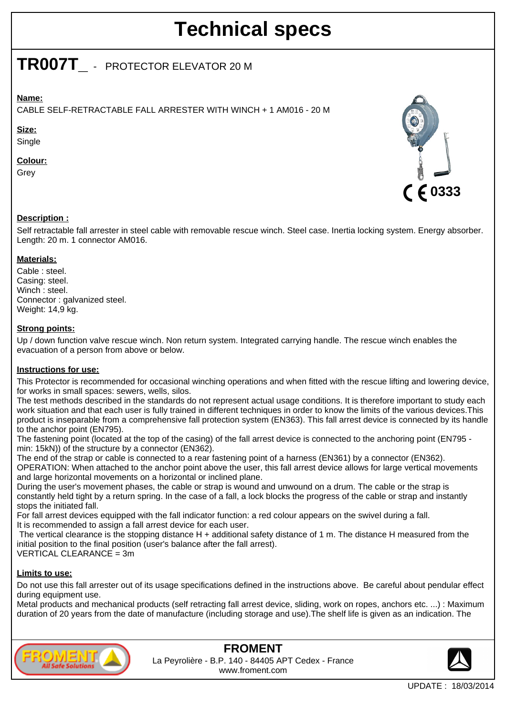# **Technical specs**

## **TR007T\_** - PROTECTOR ELEVATOR 20 M

## **Name:**

CABLE SELF-RETRACTABLE FALL ARRESTER WITH WINCH + 1 AM016 - 20 M

#### **Size:**

**Single** 

## **Colour:**

Grey



## **Description :**

Self retractable fall arrester in steel cable with removable rescue winch. Steel case. Inertia locking system. Energy absorber. Length: 20 m. 1 connector AM016.

## **Materials:**

Cable : steel. Casing: steel. Winch: steel. Connector : galvanized steel. Weight: 14,9 kg.

## **Strong points:**

Up / down function valve rescue winch. Non return system. Integrated carrying handle. The rescue winch enables the evacuation of a person from above or below.

#### **Instructions for use:**

This Protector is recommended for occasional winching operations and when fitted with the rescue lifting and lowering device, for works in small spaces: sewers, wells, silos.

The test methods described in the standards do not represent actual usage conditions. It is therefore important to study each work situation and that each user is fully trained in different techniques in order to know the limits of the various devices.This product is inseparable from a comprehensive fall protection system (EN363). This fall arrest device is connected by its handle to the anchor point (EN795).

The fastening point (located at the top of the casing) of the fall arrest device is connected to the anchoring point (EN795 min: 15kN)) of the structure by a connector (EN362).

The end of the strap or cable is connected to a rear fastening point of a harness (EN361) by a connector (EN362). OPERATION: When attached to the anchor point above the user, this fall arrest device allows for large vertical movements and large horizontal movements on a horizontal or inclined plane.

During the user's movement phases, the cable or strap is wound and unwound on a drum. The cable or the strap is constantly held tight by a return spring. In the case of a fall, a lock blocks the progress of the cable or strap and instantly stops the initiated fall.

For fall arrest devices equipped with the fall indicator function: a red colour appears on the swivel during a fall. It is recommended to assign a fall arrest device for each user.

The vertical clearance is the stopping distance H + additional safety distance of 1 m. The distance H measured from the initial position to the final position (user's balance after the fall arrest).

 $VERTICAL CLEARANCE = 3m$ 

#### **Limits to use:**

Do not use this fall arrester out of its usage specifications defined in the instructions above. Be careful about pendular effect during equipment use.

Metal products and mechanical products (self retracting fall arrest device, sliding, work on ropes, anchors etc. ...) : Maximum duration of 20 years from the date of manufacture (including storage and use).The shelf life is given as an indication. The



**FROMENT** La Peyrolière - B.P. 140 - 84405 APT Cedex - France www.froment.com